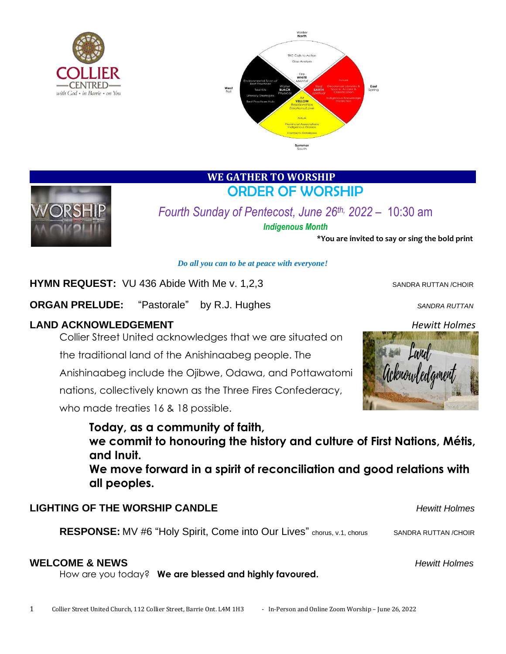



## **WE GATHER TO WORSHIP**  ORDER OF WORSHIP



*Fourth Sunday of Pentecost, June 26th, 2022* – 10:30 am *Indigenous Month*

**\*You are invited to say or sing the bold print**

#### *Do all you can to be at peace with everyone!*

### **HYMN REQUEST:** VU 436 Abide With Me v. 1,2,3

**ORGAN PRELUDE:** "Pastorale" by R.J. Hughes *SANDRA RUTTAN* 

#### **LAND ACKNOWLEDGEMENT** *Hewitt Holmes*

Collier Street United acknowledges that we are situated on

the traditional land of the Anishinaabeg people. The

Anishinaabeg include the Ojibwe, Odawa, and Pottawatomi

nations, collectively known as the Three Fires Confederacy,

who made treaties 16 & 18 possible.



**Today, as a community of faith, we commit to honouring the history and culture of First Nations, Métis, and Inuit. We move forward in a spirit of reconciliation and good relations with all peoples.**

## **LIGHTING OF THE WORSHIP CANDLE** *Hewitt Holmes*

**RESPONSE:** MV #6 "Holy Spirit, Come into Our Lives" chorus, v.1, chorus SANDRA RUTTAN /CHOIR

#### **WELCOME & NEWS** *Hewitt Holmes*

How are you today? **We are blessed and highly favoured.**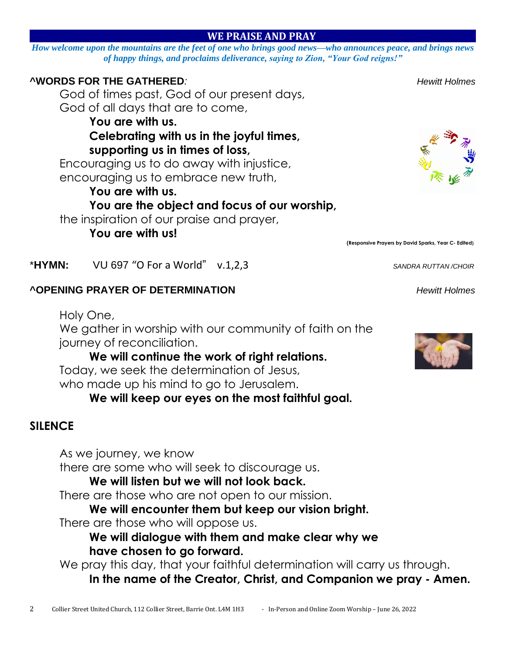## **WE PRAISE AND PRAY**

*How welcome upon the mountains are the feet of one who brings good news—who announces peace, and brings news of happy things, and proclaims deliverance, saying to Zion, "Your God reigns!"*

## **^WORDS FOR THE GATHERED***: Hewitt Holmes*

God of times past, God of our present days, God of all days that are to come,

### **You are with us. Celebrating with us in the joyful times,**

**supporting us in times of loss,**

Encouraging us to do away with injustice, encouraging us to embrace new truth,

## **You are with us.**

## **You are the object and focus of our worship,**

We gather in worship with our community of faith on the

**We will keep our eyes on the most faithful goal.**

**We will continue the work of right relations.**

Today, we seek the determination of Jesus, who made up his mind to go to Jerusalem.

there are some who will seek to discourage us. **We will listen but we will not look back.** There are those who are not open to our mission.

the inspiration of our praise and prayer,

**You are with us!**

journey of reconciliation.

As we journey, we know

Holy One,

 **(Responsive Prayers by David Sparks, Year C- Edited)**

\***HYMN:** VU 697 "O For a World" v.1,2,3 *SANDRA RUTTAN /CHOIR*

**^OPENING PRAYER OF DETERMINATION** *Hewitt Holmes*







There are those who will oppose us. **We will dialogue with them and make clear why we have chosen to go forward.**

**We will encounter them but keep our vision bright.**

We pray this day, that your faithful determination will carry us through. **In the name of the Creator, Christ, and Companion we pray - Amen.**

**SILENCE**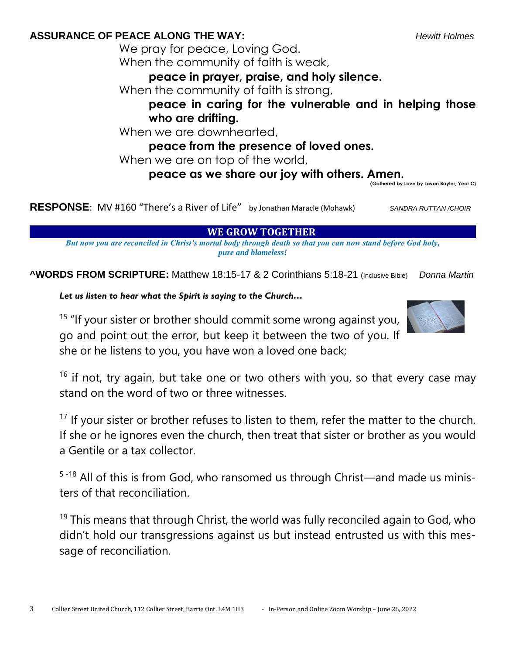**ASSURANCE OF PEACE ALONG THE WAY:** *Hewitt Holmes*

We pray for peace, Loving God. When the community of faith is weak,

**peace in prayer, praise, and holy silence.**

When the community of faith is strong,

**peace in caring for the vulnerable and in helping those who are drifting.**

When we are downhearted,

**peace from the presence of loved ones.**

When we are on top of the world,

## **peace as we share our joy with others. Amen.**

**(Gathered by Love by Lavon Bayler, Year C)**

**RESPONSE**: MV #160 "There's a River of Life" by Jonathan Maracle (Mohawk)*SANDRA RUTTAN /CHOIR*

**WE GROW TOGETHER** 

*But now you are reconciled in Christ's mortal body through death so that you can now stand before God holy, pure and blameless!*

**^WORDS FROM SCRIPTURE:** Matthew 18:15-17 & 2 Corinthians 5:18-21 (Inclusive Bible) *Donna Martin*

*Let us listen to hear what the Spirit is saying to the Church…*

 $15$  "If your sister or brother should commit some wrong against you, go and point out the error, but keep it between the two of you. If she or he listens to you, you have won a loved one back;



 $16$  if not, try again, but take one or two others with you, so that every case may stand on the word of two or three witnesses.

 $17$  If your sister or brother refuses to listen to them, refer the matter to the church. If she or he ignores even the church, then treat that sister or brother as you would a Gentile or a tax collector.

5-18 All of this is from God, who ransomed us through Christ—and made us ministers of that reconciliation.

 $19$  This means that through Christ, the world was fully reconciled again to God, who didn't hold our transgressions against us but instead entrusted us with this message of reconciliation.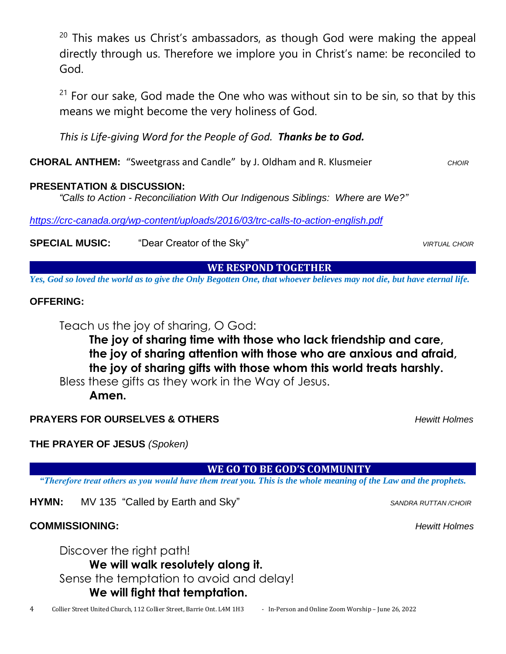$20$  This makes us Christ's ambassadors, as though God were making the appeal directly through us. Therefore we implore you in Christ's name: be reconciled to God.

 $21$  For our sake, God made the One who was without sin to be sin, so that by this means we might become the very holiness of God.

*This is Life-giving Word for the People of God. Thanks be to God.*

**CHORAL ANTHEM:** "Sweetgrass and Candle" by J. Oldham and R. Klusmeier *CHOIR* 

### **PRESENTATION & DISCUSSION:**

*"Calls to Action - Reconciliation With Our Indigenous Siblings: Where are We?"*

*<https://crc-canada.org/wp-content/uploads/2016/03/trc-calls-to-action-english.pdf>*

**SPECIAL MUSIC:** "Dear Creator of the Sky" *VIRTUAL CHOIR*

### **WE RESPOND TOGETHER**

*Yes, God so loved the world as to give the Only Begotten One, that whoever believes may not die, but have eternal life.*

## **OFFERING:**

Teach us the joy of sharing, O God:

**The joy of sharing time with those who lack friendship and care, the joy of sharing attention with those who are anxious and afraid, the joy of sharing gifts with those whom this world treats harshly.**

Bless these gifts as they work in the Way of Jesus.

**Amen.**

## **PRAYERS FOR OURSELVES & OTHERS** *Hewitt Holmes*

**THE PRAYER OF JESUS** *(Spoken)*

 **WE GO TO BE GOD'S COMMUNITY** 

*"Therefore treat others as you would have them treat you. This is the whole meaning of the Law and the prophets.*

**HYMN:** MV 135 "Called by Earth and Sky" *SANDRA RUTTAN /CHOIR* 

# **COMMISSIONING:** *Hewitt Holmes*

Discover the right path! **We will walk resolutely along it.** Sense the temptation to avoid and delay! **We will fight that temptation.**